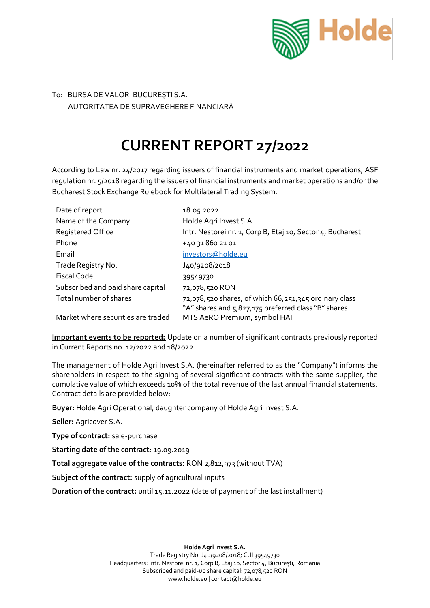

## To: BURSA DE VALORI BUCUREȘTI S.A. AUTORITATEA DE SUPRAVEGHERE FINANCIARĂ

## **CURRENT REPORT 27/2022**

According to Law nr. 24/2017 regarding issuers of financial instruments and market operations, ASF regulation nr. 5/2018 regarding the issuers of financial instruments and market operations and/or the Bucharest Stock Exchange Rulebook for Multilateral Trading System.

| Date of report                     | 18.05.2022                                                 |
|------------------------------------|------------------------------------------------------------|
| Name of the Company                | Holde Agri Invest S.A.                                     |
| <b>Registered Office</b>           | Intr. Nestorei nr. 1, Corp B, Etaj 10, Sector 4, Bucharest |
| Phone                              | +40 31 860 21 01                                           |
| Email                              | investors@holde.eu                                         |
| Trade Registry No.                 | J40/9208/2018                                              |
| Fiscal Code                        | 39549730                                                   |
| Subscribed and paid share capital  | 72,078,520 RON                                             |
| Total number of shares             | 72,078,520 shares, of which 66,251,345 ordinary class      |
|                                    | "A" shares and 5,827,175 preferred class "B" shares        |
| Market where securities are traded | MTS AeRO Premium, symbol HAI                               |

**Important events to be reported:** Update on a number of significant contracts previously reported in Current Reports no. 12/2022 and 18/2022

The management of Holde Agri Invest S.A. (hereinafter referred to as the "Company") informs the shareholders in respect to the signing of several significant contracts with the same supplier, the cumulative value of which exceeds 10% of the total revenue of the last annual financial statements. Contract details are provided below:

**Buyer:** Holde Agri Operational, daughter company of Holde Agri Invest S.A.

**Seller:** Agricover S.A.

**Type of contract:** sale-purchase

**Starting date of the contract**: 19.09.2019

**Total aggregate value of the contracts:** RON 2,812,973 (without TVA)

**Subject of the contract:** supply of agricultural inputs

**Duration of the contract:** until 15.11.2022 (date of payment of the last installment)

**Holde Agri Invest S.A.**

Trade Registry No: J40/9208/2018; CUI 39549730 Headquarters: Intr. Nestorei nr. 1, Corp B, Etaj 10, Sector 4, București, Romania Subscribed and paid-up share capital: 72,078,520 RON www.holde.eu | contact@holde.eu